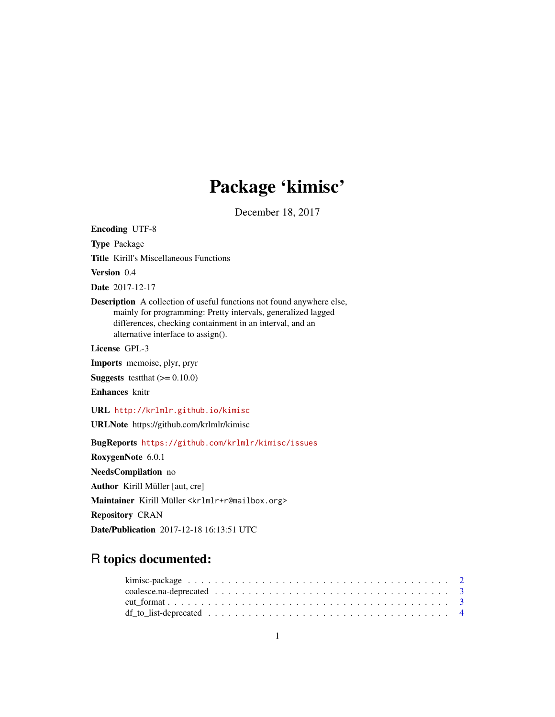## Package 'kimisc'

December 18, 2017

<span id="page-0-0"></span>Encoding UTF-8 Type Package Title Kirill's Miscellaneous Functions Version 0.4 Date 2017-12-17 Description A collection of useful functions not found anywhere else, mainly for programming: Pretty intervals, generalized lagged differences, checking containment in an interval, and an alternative interface to assign(). License GPL-3 Imports memoise, plyr, pryr **Suggests** test that  $(>= 0.10.0)$ Enhances knitr URL <http://krlmlr.github.io/kimisc> URLNote https://github.com/krlmlr/kimisc BugReports <https://github.com/krlmlr/kimisc/issues> RoxygenNote 6.0.1 NeedsCompilation no Author Kirill Müller [aut, cre] Maintainer Kirill Müller <krlmlr+r@mailbox.org> Repository CRAN Date/Publication 2017-12-18 16:13:51 UTC

## R topics documented: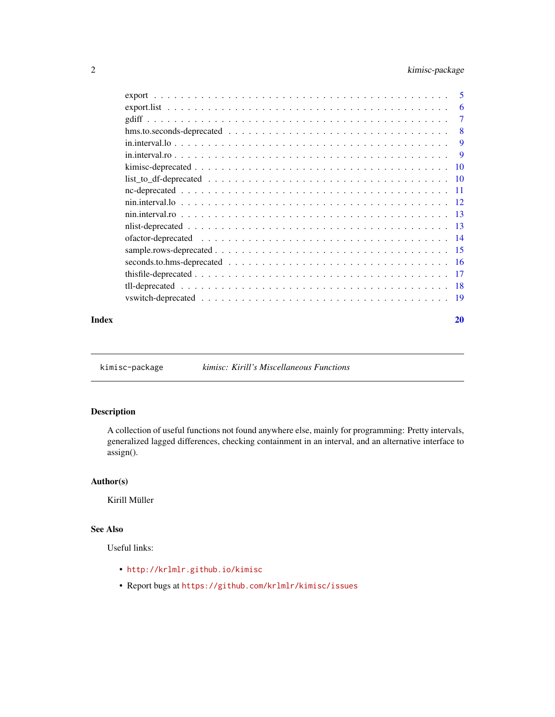## <span id="page-1-0"></span>2 kimisc-package

|                                                                                                                        | - 5      |
|------------------------------------------------------------------------------------------------------------------------|----------|
|                                                                                                                        | 6        |
|                                                                                                                        | 7        |
| $hms.to. seconds-deprecated \dots \dots \dots \dots \dots \dots \dots \dots \dots \dots \dots \dots \dots \dots \dots$ | -8       |
|                                                                                                                        | 9        |
|                                                                                                                        | <b>9</b> |
|                                                                                                                        | -10      |
|                                                                                                                        |          |
|                                                                                                                        |          |
|                                                                                                                        |          |
|                                                                                                                        |          |
|                                                                                                                        |          |
|                                                                                                                        |          |
|                                                                                                                        |          |
|                                                                                                                        |          |
|                                                                                                                        |          |
|                                                                                                                        |          |
|                                                                                                                        |          |
|                                                                                                                        |          |

#### $\bf 1$ ndex  $\bf 20$  $\bf 20$

kimisc-package *kimisc: Kirill's Miscellaneous Functions*

## Description

A collection of useful functions not found anywhere else, mainly for programming: Pretty intervals, generalized lagged differences, checking containment in an interval, and an alternative interface to assign().

## Author(s)

Kirill Müller

## See Also

Useful links:

- <http://krlmlr.github.io/kimisc>
- Report bugs at <https://github.com/krlmlr/kimisc/issues>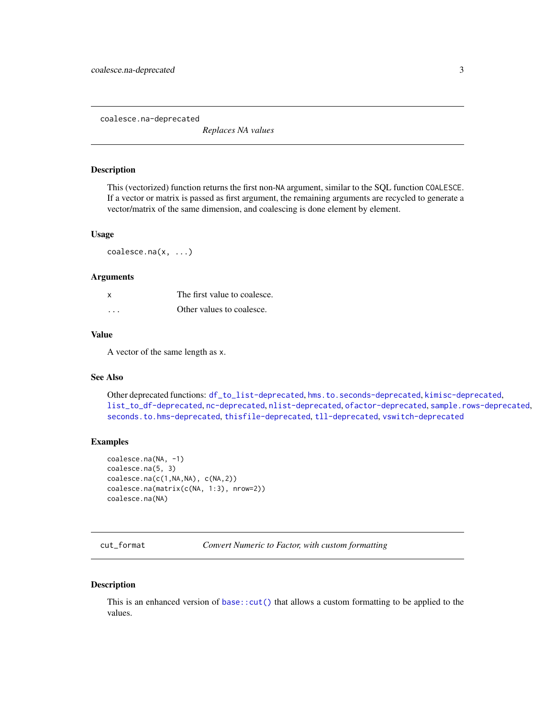<span id="page-2-1"></span><span id="page-2-0"></span>coalesce.na-deprecated

*Replaces NA values*

### Description

This (vectorized) function returns the first non-NA argument, similar to the SQL function COALESCE. If a vector or matrix is passed as first argument, the remaining arguments are recycled to generate a vector/matrix of the same dimension, and coalescing is done element by element.

#### Usage

coalesce.na(x, ...)

#### **Arguments**

| X | The first value to coalesce. |
|---|------------------------------|
| . | Other values to coalesce.    |

## Value

A vector of the same length as x.

#### See Also

Other deprecated functions: [df\\_to\\_list-deprecated](#page-3-1), [hms.to.seconds-deprecated](#page-7-1), [kimisc-deprecated](#page-9-1), [list\\_to\\_df-deprecated](#page-9-2), [nc-deprecated](#page-10-1), [nlist-deprecated](#page-12-1), [ofactor-deprecated](#page-13-1), [sample.rows-deprecated](#page-14-1), [seconds.to.hms-deprecated](#page-15-1), [thisfile-deprecated](#page-16-1), [tll-deprecated](#page-17-1), [vswitch-deprecated](#page-18-1)

#### Examples

```
coalesce.na(NA, -1)
coalesce.na(5, 3)
coalesce.na(c(1,NA,NA), c(NA,2))
coalesce.na(matrix(c(NA, 1:3), nrow=2))
coalesce.na(NA)
```
cut\_format *Convert Numeric to Factor, with custom formatting*

#### Description

This is an enhanced version of base:: $cut()$  that allows a custom formatting to be applied to the values.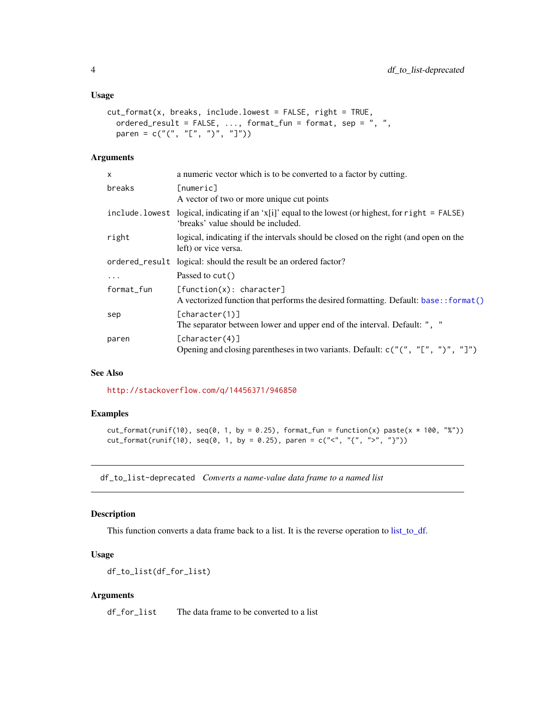#### <span id="page-3-0"></span>Usage

```
cut_format(x, breaks, include.lowest = FALSE, right = TRUE,
  ordered_result = FALSE, \ldots, format_fun = format, sep = ", ",
 paren = c("("", "["", ")"", "ï")
```
#### Arguments

| x          | a numeric vector which is to be converted to a factor by cutting.                                                                          |
|------------|--------------------------------------------------------------------------------------------------------------------------------------------|
| breaks     | [numeric]<br>A vector of two or more unique cut points                                                                                     |
|            | include. lowest logical, indicating if an 'x[i]' equal to the lowest (or highest, for right = FALSE)<br>'breaks' value should be included. |
| right      | logical, indicating if the intervals should be closed on the right (and open on the<br>left) or vice versa.                                |
|            | ordered_result logical: should the result be an ordered factor?                                                                            |
| $\cdots$   | Passed to cut()                                                                                                                            |
| format_fun | [function(x): character]<br>A vectorized function that performs the desired formatting. Default: base: : format ()                         |
| sep        | [character(1)]<br>The separator between lower and upper end of the interval. Default: ", "                                                 |
| paren      | [charactor(4)]<br>Opening and closing parentheses in two variants. Default: $c("", "["", ")"", ""]")$                                      |

## See Also

<http://stackoverflow.com/q/14456371/946850>

## Examples

```
cut_{\text{format}(\text{runif}(10), \text{seq}(0, 1, \text{by = } 0.25), \text{format}_{\text{fun}} = \text{function}(x) \text{ paste}(x * 100, "x"))cut_{format(runif(10), seq(0, 1, by = 0.25), parent = c("<", "{'", "}>", "'}))
```
<span id="page-3-1"></span>df\_to\_list-deprecated *Converts a name-value data frame to a named list*

## Description

This function converts a data frame back to a list. It is the reverse operation to [list\\_to\\_df.](#page-9-3)

#### Usage

df\_to\_list(df\_for\_list)

#### Arguments

df\_for\_list The data frame to be converted to a list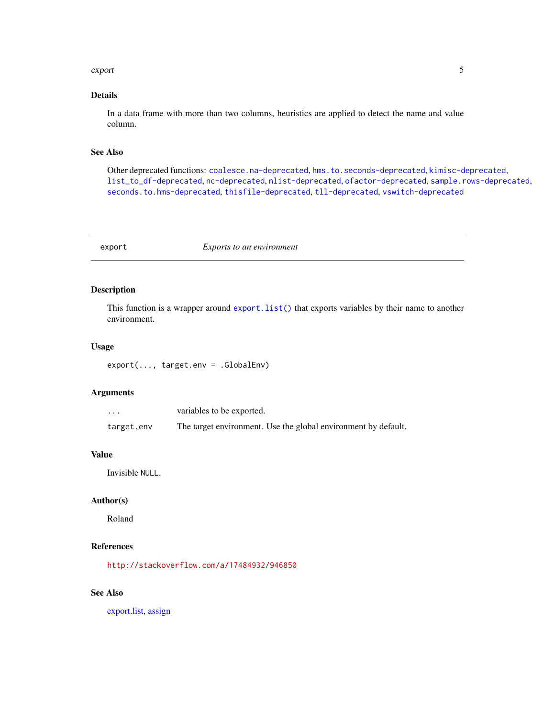#### <span id="page-4-0"></span>export 5

## Details

In a data frame with more than two columns, heuristics are applied to detect the name and value column.

#### See Also

Other deprecated functions: [coalesce.na-deprecated](#page-2-1), [hms.to.seconds-deprecated](#page-7-1), [kimisc-deprecated](#page-9-1), [list\\_to\\_df-deprecated](#page-9-2), [nc-deprecated](#page-10-1), [nlist-deprecated](#page-12-1), [ofactor-deprecated](#page-13-1), [sample.rows-deprecated](#page-14-1), [seconds.to.hms-deprecated](#page-15-1), [thisfile-deprecated](#page-16-1), [tll-deprecated](#page-17-1), [vswitch-deprecated](#page-18-1)

<span id="page-4-1"></span>

export *Exports to an environment*

## Description

This function is a wrapper around [export.list\(\)](#page-5-1) that exports variables by their name to another environment.

#### Usage

export(..., target.env = .GlobalEnv)

#### Arguments

| $\ddot{\phantom{0}}$ | variables to be exported.                                      |
|----------------------|----------------------------------------------------------------|
| target.env           | The target environment. Use the global environment by default. |

#### Value

Invisible NULL.

## Author(s)

Roland

#### References

<http://stackoverflow.com/a/17484932/946850>

## See Also

[export.list,](#page-5-1) [assign](#page-0-0)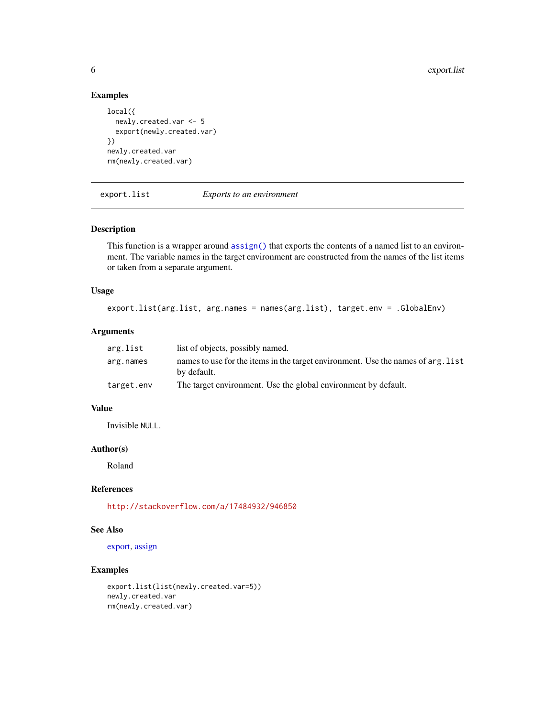```
local({
  newly.created.var <- 5
  export(newly.created.var)
})
newly.created.var
rm(newly.created.var)
```
<span id="page-5-1"></span>export.list *Exports to an environment*

## Description

This function is a wrapper around  $\operatorname{assign}()$  that exports the contents of a named list to an environment. The variable names in the target environment are constructed from the names of the list items or taken from a separate argument.

#### Usage

```
export.list(arg.list, arg.names = names(arg.list), target.env = .GlobalEnv)
```
## Arguments

| arg.list   | list of objects, possibly named.                                                                |
|------------|-------------------------------------------------------------------------------------------------|
| arg.names  | names to use for the items in the target environment. Use the names of arg. list<br>by default. |
| target.env | The target environment. Use the global environment by default.                                  |

## Value

Invisible NULL.

#### Author(s)

Roland

## References

<http://stackoverflow.com/a/17484932/946850>

## See Also

[export,](#page-4-1) [assign](#page-0-0)

```
export.list(list(newly.created.var=5))
newly.created.var
rm(newly.created.var)
```
<span id="page-5-0"></span>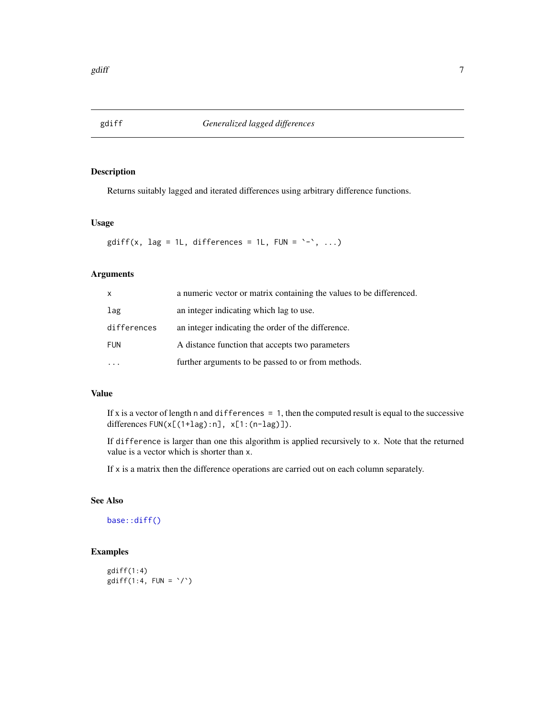<span id="page-6-0"></span>

## Description

Returns suitably lagged and iterated differences using arbitrary difference functions.

#### Usage

```
gdiff(x, lag = 1L, differences = 1L, FUN = \rightarrow, ...)
```
## Arguments

| $\mathsf{X}$ | a numeric vector or matrix containing the values to be differenced. |
|--------------|---------------------------------------------------------------------|
| lag          | an integer indicating which lag to use.                             |
| differences  | an integer indicating the order of the difference.                  |
| <b>FUN</b>   | A distance function that accepts two parameters                     |
|              | further arguments to be passed to or from methods.                  |

## Value

If x is a vector of length  $n$  and differences = 1, then the computed result is equal to the successive differences FUN(x[(1+lag):n], x[1:(n-lag)]).

If difference is larger than one this algorithm is applied recursively to x. Note that the returned value is a vector which is shorter than x.

If x is a matrix then the difference operations are carried out on each column separately.

## See Also

[base::diff\(\)](#page-0-0)

```
gdiff(1:4)gdiff(1:4, FUN = \dot{\ }/\dot{\ })
```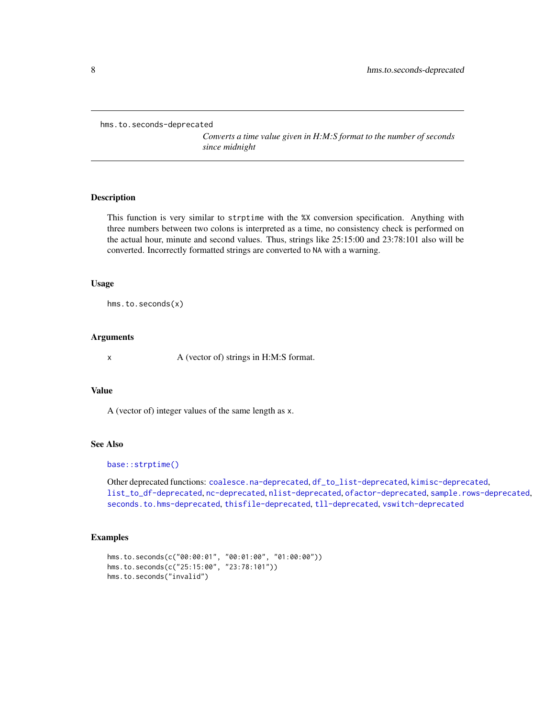<span id="page-7-1"></span><span id="page-7-0"></span>hms.to.seconds-deprecated

*Converts a time value given in H:M:S format to the number of seconds since midnight*

#### Description

This function is very similar to strptime with the %X conversion specification. Anything with three numbers between two colons is interpreted as a time, no consistency check is performed on the actual hour, minute and second values. Thus, strings like 25:15:00 and 23:78:101 also will be converted. Incorrectly formatted strings are converted to NA with a warning.

#### Usage

hms.to.seconds(x)

### Arguments

x A (vector of) strings in H:M:S format.

#### Value

A (vector of) integer values of the same length as x.

## See Also

#### [base::strptime\(\)](#page-0-0)

Other deprecated functions: [coalesce.na-deprecated](#page-2-1), [df\\_to\\_list-deprecated](#page-3-1), [kimisc-deprecated](#page-9-1), [list\\_to\\_df-deprecated](#page-9-2), [nc-deprecated](#page-10-1), [nlist-deprecated](#page-12-1), [ofactor-deprecated](#page-13-1), [sample.rows-deprecated](#page-14-1), [seconds.to.hms-deprecated](#page-15-1), [thisfile-deprecated](#page-16-1), [tll-deprecated](#page-17-1), [vswitch-deprecated](#page-18-1)

```
hms.to.seconds(c("00:00:01", "00:01:00", "01:00:00"))
hms.to.seconds(c("25:15:00", "23:78:101"))
hms.to.seconds("invalid")
```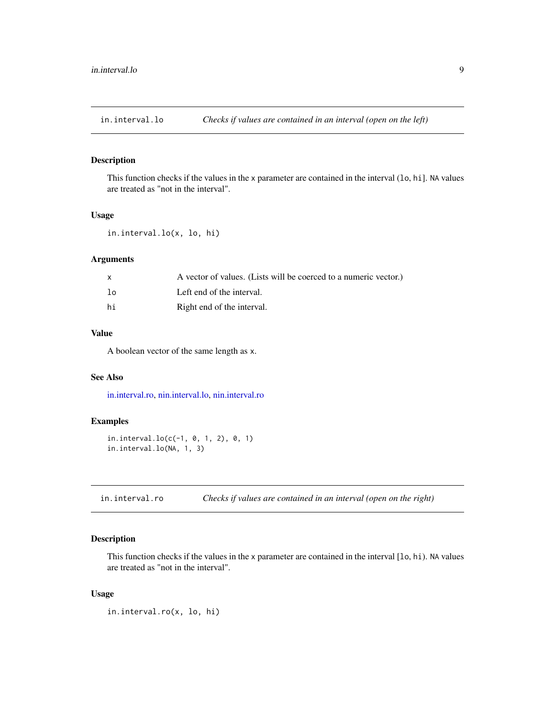<span id="page-8-2"></span><span id="page-8-0"></span>in.interval.lo *Checks if values are contained in an interval (open on the left)*

#### Description

This function checks if the values in the x parameter are contained in the interval (lo, hi]. NA values are treated as "not in the interval".

## Usage

```
in.interval.lo(x, lo, hi)
```
## Arguments

| X  | A vector of values. (Lists will be coerced to a numeric vector.) |
|----|------------------------------------------------------------------|
| lo | Left end of the interval.                                        |
| hi | Right end of the interval.                                       |

## Value

A boolean vector of the same length as x.

## See Also

[in.interval.ro,](#page-8-1) [nin.interval.lo,](#page-11-1) [nin.interval.ro](#page-12-2)

## Examples

```
in.interval.lo(c(-1, 0, 1, 2), 0, 1)
in.interval.lo(NA, 1, 3)
```
<span id="page-8-1"></span>in.interval.ro *Checks if values are contained in an interval (open on the right)*

## Description

This function checks if the values in the x parameter are contained in the interval [lo, hi). NA values are treated as "not in the interval".

## Usage

```
in.interval.ro(x, lo, hi)
```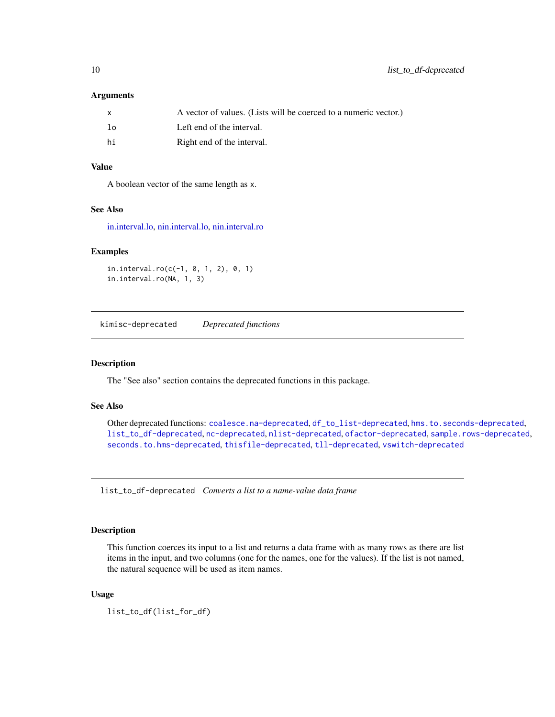#### <span id="page-9-0"></span>**Arguments**

| $\mathsf{x}$ | A vector of values. (Lists will be coerced to a numeric vector.) |
|--------------|------------------------------------------------------------------|
| lo           | Left end of the interval.                                        |
| hi           | Right end of the interval.                                       |

#### Value

A boolean vector of the same length as x.

#### See Also

[in.interval.lo,](#page-8-2) [nin.interval.lo,](#page-11-1) [nin.interval.ro](#page-12-2)

#### Examples

```
in.interval.ro(c(-1, 0, 1, 2), 0, 1)
in.interval.ro(NA, 1, 3)
```
<span id="page-9-1"></span>kimisc-deprecated *Deprecated functions*

## Description

The "See also" section contains the deprecated functions in this package.

## See Also

Other deprecated functions: [coalesce.na-deprecated](#page-2-1), [df\\_to\\_list-deprecated](#page-3-1), [hms.to.seconds-deprecated](#page-7-1), [list\\_to\\_df-deprecated](#page-9-2), [nc-deprecated](#page-10-1), [nlist-deprecated](#page-12-1), [ofactor-deprecated](#page-13-1), [sample.rows-deprecated](#page-14-1), [seconds.to.hms-deprecated](#page-15-1), [thisfile-deprecated](#page-16-1), [tll-deprecated](#page-17-1), [vswitch-deprecated](#page-18-1)

<span id="page-9-2"></span>list\_to\_df-deprecated *Converts a list to a name-value data frame*

#### <span id="page-9-3"></span>Description

This function coerces its input to a list and returns a data frame with as many rows as there are list items in the input, and two columns (one for the names, one for the values). If the list is not named, the natural sequence will be used as item names.

## Usage

list\_to\_df(list\_for\_df)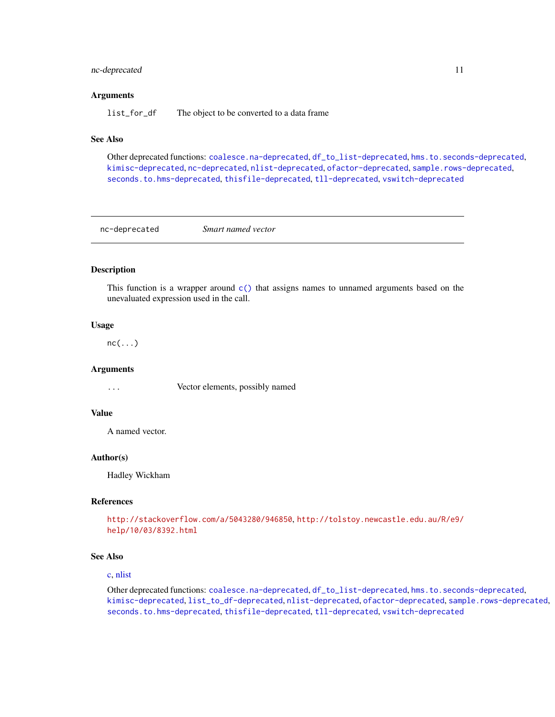## <span id="page-10-0"></span>nc-deprecated 11

#### Arguments

list\_for\_df The object to be converted to a data frame

## See Also

Other deprecated functions: [coalesce.na-deprecated](#page-2-1), [df\\_to\\_list-deprecated](#page-3-1), [hms.to.seconds-deprecated](#page-7-1), [kimisc-deprecated](#page-9-1), [nc-deprecated](#page-10-1), [nlist-deprecated](#page-12-1), [ofactor-deprecated](#page-13-1), [sample.rows-deprecated](#page-14-1), [seconds.to.hms-deprecated](#page-15-1), [thisfile-deprecated](#page-16-1), [tll-deprecated](#page-17-1), [vswitch-deprecated](#page-18-1)

<span id="page-10-1"></span>nc-deprecated *Smart named vector*

#### Description

This function is a wrapper around [c\(\)](#page-0-0) that assigns names to unnamed arguments based on the unevaluated expression used in the call.

#### Usage

 $nc(\ldots)$ 

#### Arguments

... Vector elements, possibly named

#### Value

A named vector.

## Author(s)

Hadley Wickham

#### References

```
http://stackoverflow.com/a/5043280/946850, http://tolstoy.newcastle.edu.au/R/e9/
help/10/03/8392.html
```
#### See Also

#### [c,](#page-0-0) [nlist](#page-12-3)

Other deprecated functions: [coalesce.na-deprecated](#page-2-1), [df\\_to\\_list-deprecated](#page-3-1), [hms.to.seconds-deprecated](#page-7-1), [kimisc-deprecated](#page-9-1), [list\\_to\\_df-deprecated](#page-9-2), [nlist-deprecated](#page-12-1), [ofactor-deprecated](#page-13-1), [sample.rows-deprecated](#page-14-1), [seconds.to.hms-deprecated](#page-15-1), [thisfile-deprecated](#page-16-1), [tll-deprecated](#page-17-1), [vswitch-deprecated](#page-18-1)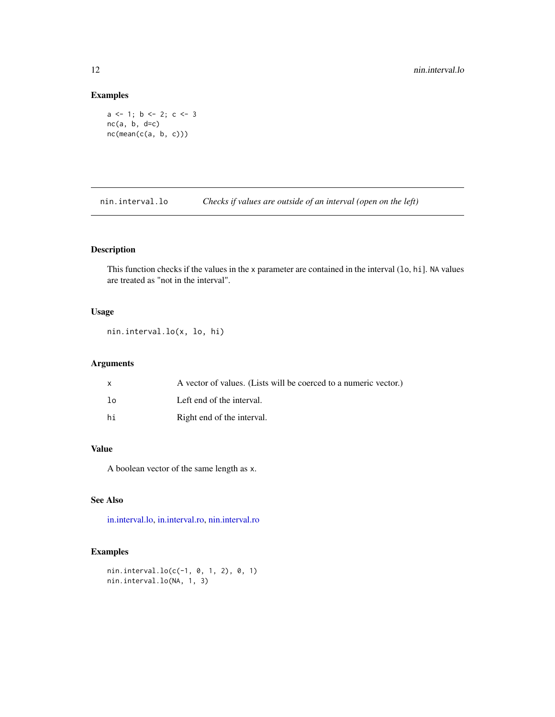```
a \leftarrow 1; b \leftarrow 2; c \leftarrow 3nc(a, b, d=c)nc(mean(c(a, b, c)))
```
<span id="page-11-1"></span>nin.interval.lo *Checks if values are outside of an interval (open on the left)*

## Description

This function checks if the values in the x parameter are contained in the interval (10, hi]. NA values are treated as "not in the interval".

## Usage

nin.interval.lo(x, lo, hi)

## Arguments

| $\mathsf{x}$ | A vector of values. (Lists will be coerced to a numeric vector.) |
|--------------|------------------------------------------------------------------|
| ിറ           | Left end of the interval.                                        |
| hi           | Right end of the interval.                                       |

## Value

A boolean vector of the same length as x.

## See Also

[in.interval.lo,](#page-8-2) [in.interval.ro,](#page-8-1) [nin.interval.ro](#page-12-2)

```
nin.interval.lo(c(-1, 0, 1, 2), 0, 1)
nin.interval.lo(NA, 1, 3)
```
<span id="page-11-0"></span>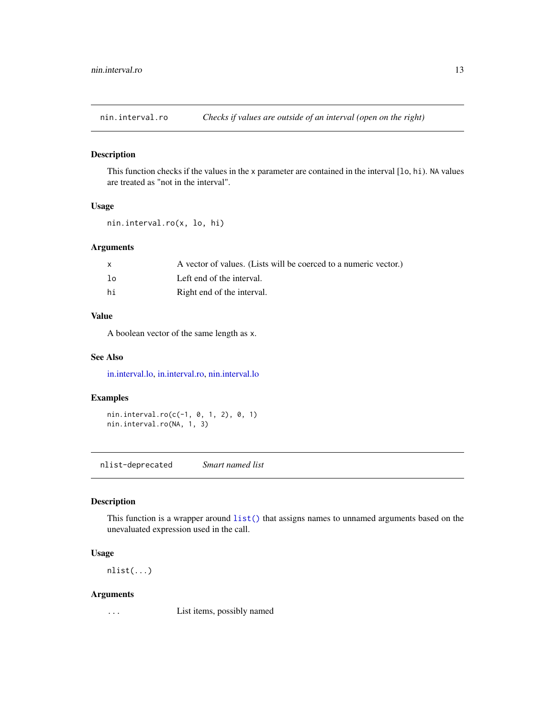<span id="page-12-2"></span><span id="page-12-0"></span>nin.interval.ro *Checks if values are outside of an interval (open on the right)*

## Description

This function checks if the values in the x parameter are contained in the interval [lo, hi). NA values are treated as "not in the interval".

## Usage

```
nin.interval.ro(x, lo, hi)
```
## Arguments

| $\mathsf{x}$ | A vector of values. (Lists will be coerced to a numeric vector.) |
|--------------|------------------------------------------------------------------|
| lo           | Left end of the interval.                                        |
| hi           | Right end of the interval.                                       |

## Value

A boolean vector of the same length as x.

## See Also

[in.interval.lo,](#page-8-2) [in.interval.ro,](#page-8-1) [nin.interval.lo](#page-11-1)

## Examples

nin.interval.ro(c(-1, 0, 1, 2), 0, 1) nin.interval.ro(NA, 1, 3)

<span id="page-12-1"></span>nlist-deprecated *Smart named list*

#### <span id="page-12-3"></span>Description

This function is a wrapper around  $list()$  that assigns names to unnamed arguments based on the unevaluated expression used in the call.

## Usage

nlist(...)

#### Arguments

... List items, possibly named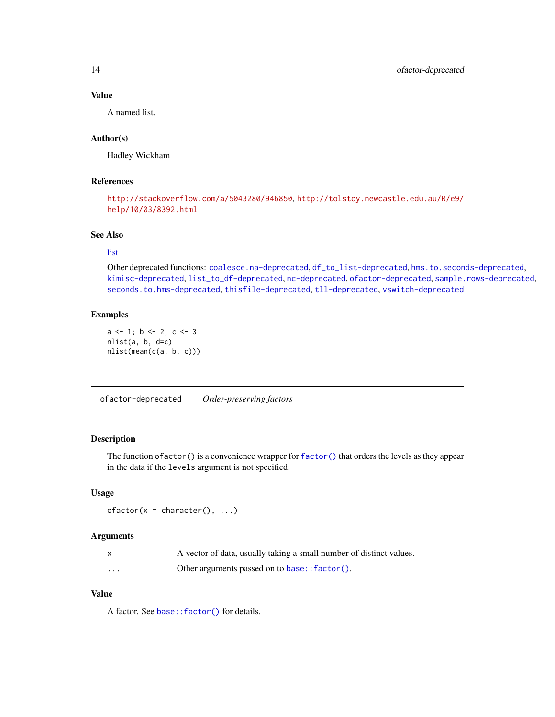## Value

A named list.

## Author(s)

Hadley Wickham

## References

```
http://stackoverflow.com/a/5043280/946850, http://tolstoy.newcastle.edu.au/R/e9/
help/10/03/8392.html
```
## See Also

#### [list](#page-0-0)

Other deprecated functions: [coalesce.na-deprecated](#page-2-1), [df\\_to\\_list-deprecated](#page-3-1), [hms.to.seconds-deprecated](#page-7-1), [kimisc-deprecated](#page-9-1), [list\\_to\\_df-deprecated](#page-9-2), [nc-deprecated](#page-10-1), [ofactor-deprecated](#page-13-1), [sample.rows-deprecated](#page-14-1), [seconds.to.hms-deprecated](#page-15-1), [thisfile-deprecated](#page-16-1), [tll-deprecated](#page-17-1), [vswitch-deprecated](#page-18-1)

## Examples

```
a \leftarrow 1; b \leftarrow 2; c \leftarrow 3nlist(a, b, d=c)nlist(mean(c(a, b, c)))
```
<span id="page-13-1"></span>ofactor-deprecated *Order-preserving factors*

## Description

The function ofactor() is a convenience wrapper for [factor\(\)](#page-0-0) that orders the levels as they appear in the data if the levels argument is not specified.

#### Usage

```
ofactor(x = character(), ...)
```
#### Arguments

|          | A vector of data, usually taking a small number of distinct values. |
|----------|---------------------------------------------------------------------|
| $\cdots$ | Other arguments passed on to base:: factor().                       |

## Value

A factor. See [base::factor\(\)](#page-0-0) for details.

<span id="page-13-0"></span>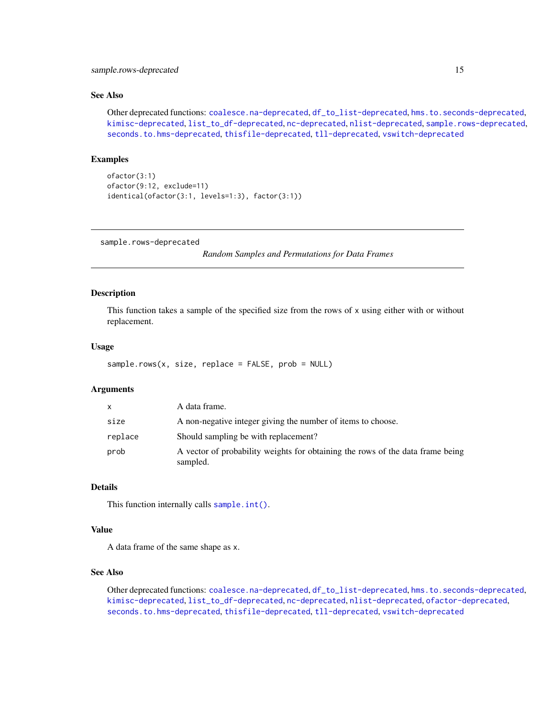## <span id="page-14-0"></span>See Also

Other deprecated functions: [coalesce.na-deprecated](#page-2-1), [df\\_to\\_list-deprecated](#page-3-1), [hms.to.seconds-deprecated](#page-7-1), [kimisc-deprecated](#page-9-1), [list\\_to\\_df-deprecated](#page-9-2), [nc-deprecated](#page-10-1), [nlist-deprecated](#page-12-1), [sample.rows-deprecated](#page-14-1), [seconds.to.hms-deprecated](#page-15-1), [thisfile-deprecated](#page-16-1), [tll-deprecated](#page-17-1), [vswitch-deprecated](#page-18-1)

## Examples

```
ofactor(3:1)
ofactor(9:12, exclude=11)
identical(ofactor(3:1, levels=1:3), factor(3:1))
```
<span id="page-14-1"></span>sample.rows-deprecated

*Random Samples and Permutations for Data Frames*

## Description

This function takes a sample of the specified size from the rows of x using either with or without replacement.

#### Usage

```
sample.rows(x, size, replace = FALSE, prob = NULL)
```
#### Arguments

| X       | A data frame.                                                                              |
|---------|--------------------------------------------------------------------------------------------|
| size    | A non-negative integer giving the number of items to choose.                               |
| replace | Should sampling be with replacement?                                                       |
| prob    | A vector of probability weights for obtaining the rows of the data frame being<br>sampled. |

## Details

This function internally calls [sample.int\(\)](#page-0-0).

#### Value

A data frame of the same shape as x.

## See Also

Other deprecated functions: [coalesce.na-deprecated](#page-2-1), [df\\_to\\_list-deprecated](#page-3-1), [hms.to.seconds-deprecated](#page-7-1), [kimisc-deprecated](#page-9-1), [list\\_to\\_df-deprecated](#page-9-2), [nc-deprecated](#page-10-1), [nlist-deprecated](#page-12-1), [ofactor-deprecated](#page-13-1), [seconds.to.hms-deprecated](#page-15-1), [thisfile-deprecated](#page-16-1), [tll-deprecated](#page-17-1), [vswitch-deprecated](#page-18-1)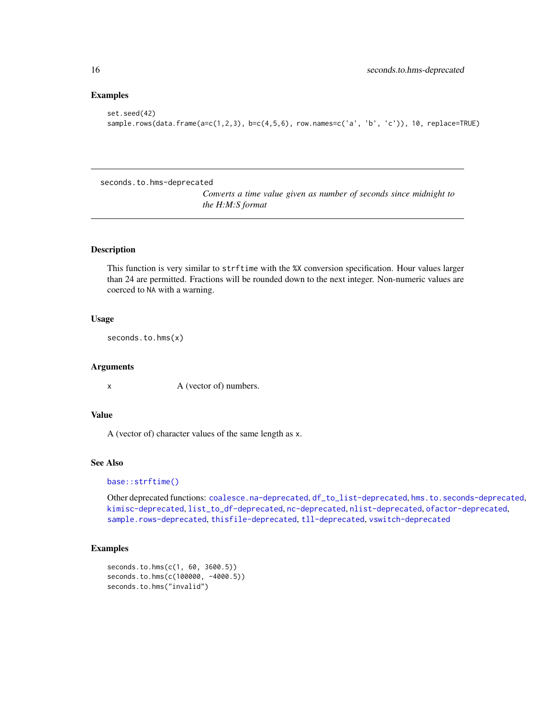```
set.seed(42)
sample.rows(data.frame(a=c(1,2,3), b=c(4,5,6), row.names=c('a', 'b', 'c')), 10, replace=TRUE)
```
<span id="page-15-1"></span>seconds.to.hms-deprecated

*Converts a time value given as number of seconds since midnight to the H:M:S format*

## Description

This function is very similar to strftime with the %X conversion specification. Hour values larger than 24 are permitted. Fractions will be rounded down to the next integer. Non-numeric values are coerced to NA with a warning.

## Usage

seconds.to.hms(x)

#### Arguments

x A (vector of) numbers.

## Value

A (vector of) character values of the same length as x.

## See Also

[base::strftime\(\)](#page-0-0)

Other deprecated functions: [coalesce.na-deprecated](#page-2-1), [df\\_to\\_list-deprecated](#page-3-1), [hms.to.seconds-deprecated](#page-7-1), [kimisc-deprecated](#page-9-1), [list\\_to\\_df-deprecated](#page-9-2), [nc-deprecated](#page-10-1), [nlist-deprecated](#page-12-1), [ofactor-deprecated](#page-13-1), [sample.rows-deprecated](#page-14-1), [thisfile-deprecated](#page-16-1), [tll-deprecated](#page-17-1), [vswitch-deprecated](#page-18-1)

```
seconds.to.hms(c(1, 60, 3600.5))
seconds.to.hms(c(100000, -4000.5))
seconds.to.hms("invalid")
```
<span id="page-15-0"></span>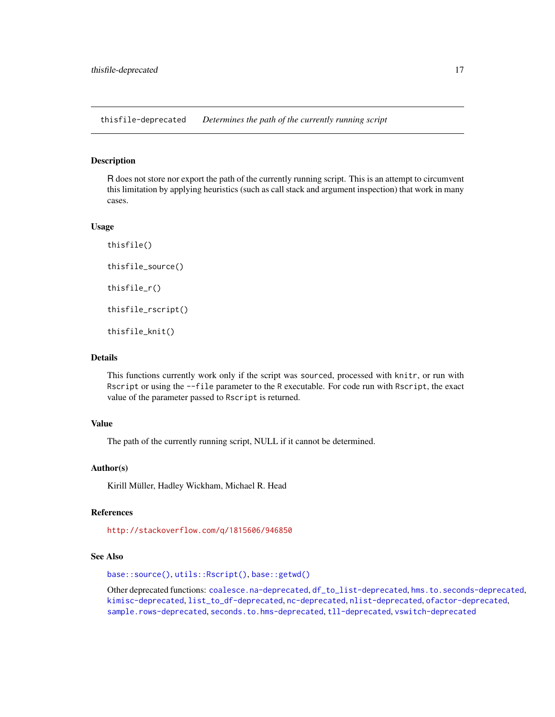<span id="page-16-1"></span><span id="page-16-0"></span>thisfile-deprecated *Determines the path of the currently running script*

## Description

R does not store nor export the path of the currently running script. This is an attempt to circumvent this limitation by applying heuristics (such as call stack and argument inspection) that work in many cases.

#### Usage

```
thisfile()
thisfile_source()
thisfile_r()
thisfile_rscript()
thisfile_knit()
```
## Details

This functions currently work only if the script was sourced, processed with knitr, or run with Rscript or using the --file parameter to the R executable. For code run with Rscript, the exact value of the parameter passed to Rscript is returned.

## Value

The path of the currently running script, NULL if it cannot be determined.

#### Author(s)

Kirill Müller, Hadley Wickham, Michael R. Head

## References

<http://stackoverflow.com/q/1815606/946850>

#### See Also

[base::source\(\)](#page-0-0), [utils::Rscript\(\)](#page-0-0), [base::getwd\(\)](#page-0-0)

Other deprecated functions: [coalesce.na-deprecated](#page-2-1), [df\\_to\\_list-deprecated](#page-3-1), [hms.to.seconds-deprecated](#page-7-1), [kimisc-deprecated](#page-9-1), [list\\_to\\_df-deprecated](#page-9-2), [nc-deprecated](#page-10-1), [nlist-deprecated](#page-12-1), [ofactor-deprecated](#page-13-1), [sample.rows-deprecated](#page-14-1), [seconds.to.hms-deprecated](#page-15-1), [tll-deprecated](#page-17-1), [vswitch-deprecated](#page-18-1)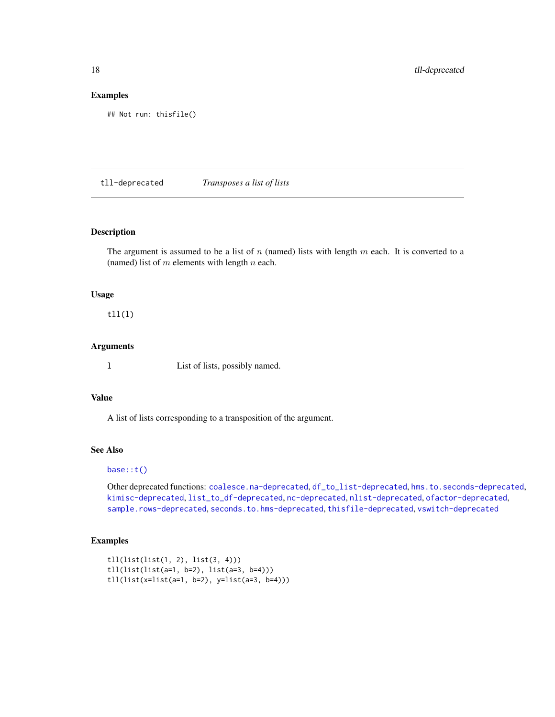```
## Not run: thisfile()
```
<span id="page-17-1"></span>tll-deprecated *Transposes a list of lists*

#### Description

The argument is assumed to be a list of  $n$  (named) lists with length  $m$  each. It is converted to a (named) list of  $m$  elements with length  $n$  each.

## Usage

 $t11(1)$ 

#### Arguments

l List of lists, possibly named.

## Value

A list of lists corresponding to a transposition of the argument.

#### See Also

#### [base::t\(\)](#page-0-0)

Other deprecated functions: [coalesce.na-deprecated](#page-2-1), [df\\_to\\_list-deprecated](#page-3-1), [hms.to.seconds-deprecated](#page-7-1), [kimisc-deprecated](#page-9-1), [list\\_to\\_df-deprecated](#page-9-2), [nc-deprecated](#page-10-1), [nlist-deprecated](#page-12-1), [ofactor-deprecated](#page-13-1), [sample.rows-deprecated](#page-14-1), [seconds.to.hms-deprecated](#page-15-1), [thisfile-deprecated](#page-16-1), [vswitch-deprecated](#page-18-1)

```
tll(list(list(1, 2), list(3, 4)))
tll(list(list(a=1, b=2), list(a=3, b=4)))
tll(list(x=list(a=1, b=2), y=list(a=3, b=4)))
```
<span id="page-17-0"></span>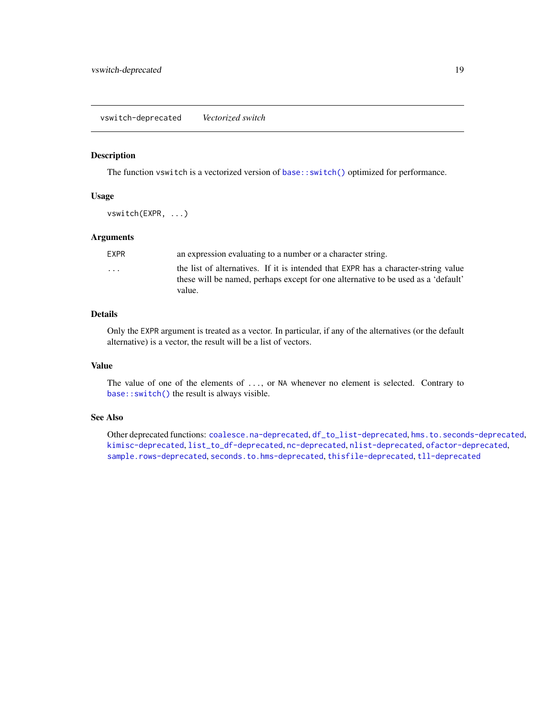#### <span id="page-18-1"></span><span id="page-18-0"></span>Description

The function vswitch is a vectorized version of [base::switch\(\)](#page-0-0) optimized for performance.

#### Usage

vswitch(EXPR, ...)

## Arguments

| <b>EXPR</b>             | an expression evaluating to a number or a character string.                                                                                                                       |
|-------------------------|-----------------------------------------------------------------------------------------------------------------------------------------------------------------------------------|
| $\cdot$ $\cdot$ $\cdot$ | the list of alternatives. If it is intended that EXPR has a character-string value<br>these will be named, perhaps except for one alternative to be used as a 'default'<br>value. |
|                         |                                                                                                                                                                                   |

## Details

Only the EXPR argument is treated as a vector. In particular, if any of the alternatives (or the default alternative) is a vector, the result will be a list of vectors.

#### Value

The value of one of the elements of ..., or NA whenever no element is selected. Contrary to [base::switch\(\)](#page-0-0) the result is always visible.

## See Also

Other deprecated functions: [coalesce.na-deprecated](#page-2-1), [df\\_to\\_list-deprecated](#page-3-1), [hms.to.seconds-deprecated](#page-7-1), [kimisc-deprecated](#page-9-1), [list\\_to\\_df-deprecated](#page-9-2), [nc-deprecated](#page-10-1), [nlist-deprecated](#page-12-1), [ofactor-deprecated](#page-13-1), [sample.rows-deprecated](#page-14-1), [seconds.to.hms-deprecated](#page-15-1), [thisfile-deprecated](#page-16-1), [tll-deprecated](#page-17-1)